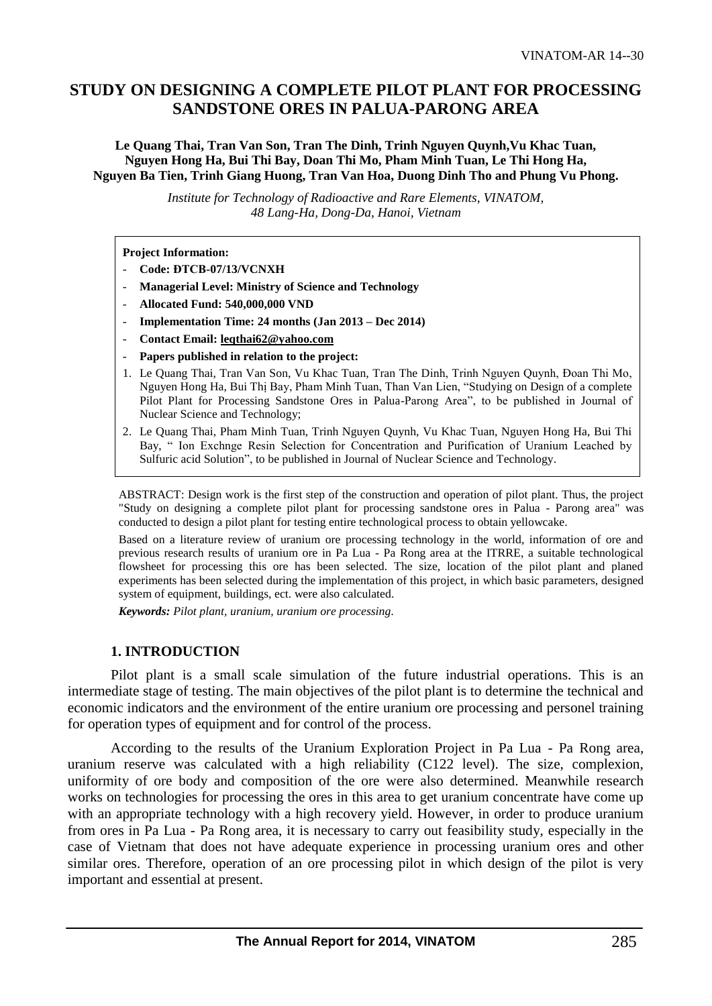# **STUDY ON DESIGNING A COMPLETE PILOT PLANT FOR PROCESSING SANDSTONE ORES IN PALUA-PARONG AREA**

**Le Quang Thai, Tran Van Son, Tran The Dinh, Trinh Nguyen Quynh,Vu Khac Tuan, Nguyen Hong Ha, Bui Thi Bay, Doan Thi Mo, Pham Minh Tuan, Le Thi Hong Ha, Nguyen Ba Tien, Trinh Giang Huong, Tran Van Hoa, Duong Dinh Tho and Phung Vu Phong.**

> *Institute for Technology of Radioactive and Rare Elements, VINATOM, 48 Lang-Ha, Dong-Da, Hanoi, Vietnam*

**Project Information:**

- **Code: ĐTCB-07/13/VCNXH**
- **Managerial Level: Ministry of Science and Technology**
- **Allocated Fund: 540,000,000 VND**
- **Implementation Time: 24 months (Jan 2013 – Dec 2014)**
- **Contact Email: leqthai62@yahoo.com**
- **Papers published in relation to the project:**
- 1. Le Quang Thai, Tran Van Son, Vu Khac Tuan, Tran The Dinh, Trinh Nguyen Quynh, Đoan Thi Mo, Nguyen Hong Ha, Bui Thị Bay, Pham Minh Tuan, Than Van Lien, "Studying on Design of a complete Pilot Plant for Processing Sandstone Ores in Palua-Parong Area", to be published in Journal of Nuclear Science and Technology;
- 2. Le Quang Thai, Pham Minh Tuan, Trinh Nguyen Quynh, Vu Khac Tuan, Nguyen Hong Ha, Bui Thi Bay, " Ion Exchnge Resin Selection for Concentration and Purification of Uranium Leached by Sulfuric acid Solution", to be published in Journal of Nuclear Science and Technology.

ABSTRACT: Design work is the first step of the construction and operation of pilot plant. Thus, the project "Study on designing a complete pilot plant for processing sandstone ores in Palua - Parong area" was conducted to design a pilot plant for testing entire technological process to obtain yellowcake.

Based on a literature review of uranium ore processing technology in the world, information of ore and previous research results of uranium ore in Pa Lua - Pa Rong area at the ITRRE, a suitable technological flowsheet for processing this ore has been selected. The size, location of the pilot plant and planed experiments has been selected during the implementation of this project, in which basic parameters, designed system of equipment, buildings, ect. were also calculated.

*Keywords: Pilot plant, uranium, uranium ore processing.*

#### **1. INTRODUCTION**

Pilot plant is a small scale simulation of the future industrial operations. This is an intermediate stage of testing. The main objectives of the pilot plant is to determine the technical and economic indicators and the environment of the entire uranium ore processing and personel training for operation types of equipment and for control of the process.

According to the results of the Uranium Exploration Project in Pa Lua - Pa Rong area, uranium reserve was calculated with a high reliability (C122 level). The size, complexion, uniformity of ore body and composition of the ore were also determined. Meanwhile research works on technologies for processing the ores in this area to get uranium concentrate have come up with an appropriate technology with a high recovery yield. However, in order to produce uranium from ores in Pa Lua - Pa Rong area, it is necessary to carry out feasibility study, especially in the case of Vietnam that does not have adequate experience in processing uranium ores and other similar ores. Therefore, operation of an ore processing pilot in which design of the pilot is very important and essential at present.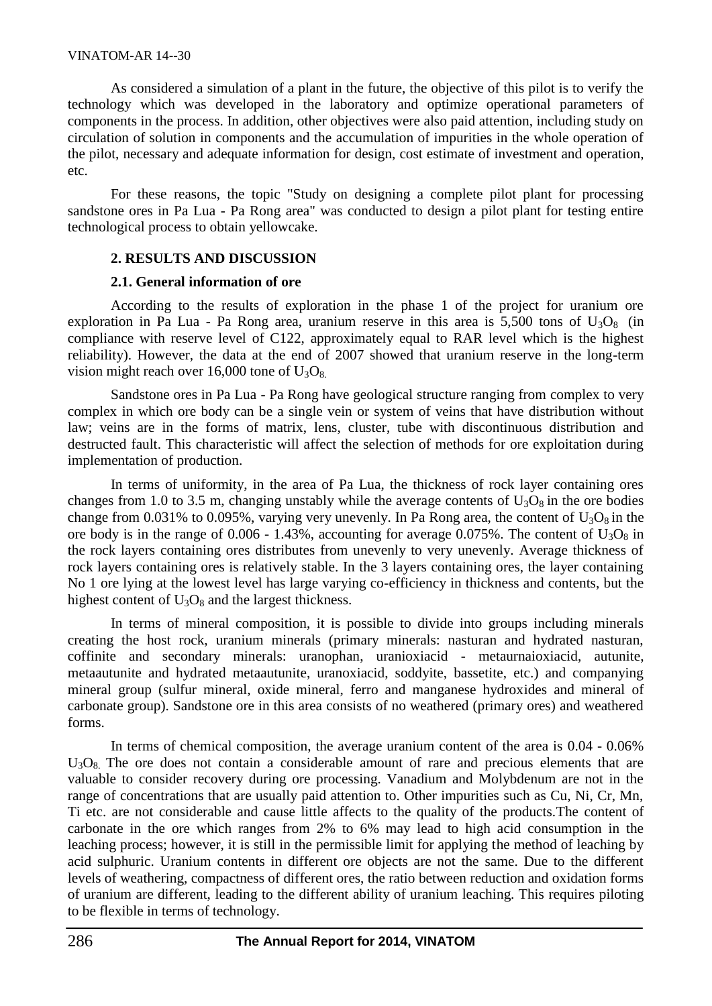As considered a simulation of a plant in the future, the objective of this pilot is to verify the technology which was developed in the laboratory and optimize operational parameters of components in the process. In addition, other objectives were also paid attention, including study on circulation of solution in components and the accumulation of impurities in the whole operation of the pilot, necessary and adequate information for design, cost estimate of investment and operation, etc.

For these reasons, the topic "Study on designing a complete pilot plant for processing sandstone ores in Pa Lua - Pa Rong area" was conducted to design a pilot plant for testing entire technological process to obtain yellowcake.

### **2. RESULTS AND DISCUSSION**

### **2.1. General information of ore**

According to the results of exploration in the phase 1 of the project for uranium ore exploration in Pa Lua - Pa Rong area, uranium reserve in this area is 5,500 tons of  $U_3O_8$  (in compliance with reserve level of C122, approximately equal to RAR level which is the highest reliability). However, the data at the end of 2007 showed that uranium reserve in the long-term vision might reach over 16,000 tone of  $U_3O_8$ .

Sandstone ores in Pa Lua - Pa Rong have geological structure ranging from complex to very complex in which ore body can be a single vein or system of veins that have distribution without law; veins are in the forms of matrix, lens, cluster, tube with discontinuous distribution and destructed fault. This characteristic will affect the selection of methods for ore exploitation during implementation of production.

In terms of uniformity, in the area of Pa Lua, the thickness of rock layer containing ores changes from 1.0 to 3.5 m, changing unstably while the average contents of  $U_3O_8$  in the ore bodies change from 0.031% to 0.095%, varying very unevenly. In Pa Rong area, the content of  $U_3O_8$  in the ore body is in the range of 0.006 - 1.43%, accounting for average 0.075%. The content of  $U_3O_8$  in the rock layers containing ores distributes from unevenly to very unevenly. Average thickness of rock layers containing ores is relatively stable. In the 3 layers containing ores, the layer containing No 1 ore lying at the lowest level has large varying co-efficiency in thickness and contents, but the highest content of  $U_3O_8$  and the largest thickness.

In terms of mineral composition, it is possible to divide into groups including minerals creating the host rock, uranium minerals (primary minerals: nasturan and hydrated nasturan, coffinite and secondary minerals: uranophan, uranioxiacid - metaurnaioxiacid, autunite, metaautunite and hydrated metaautunite, uranoxiacid, soddyite, bassetite, etc.) and companying mineral group (sulfur mineral, oxide mineral, ferro and manganese hydroxides and mineral of carbonate group). Sandstone ore in this area consists of no weathered (primary ores) and weathered forms.

In terms of chemical composition, the average uranium content of the area is 0.04 - 0.06% U<sub>3</sub>O<sub>8</sub>. The ore does not contain a considerable amount of rare and precious elements that are valuable to consider recovery during ore processing. Vanadium and Molybdenum are not in the range of concentrations that are usually paid attention to. Other impurities such as Cu, Ni, Cr, Mn, Ti etc. are not considerable and cause little affects to the quality of the products.The content of carbonate in the ore which ranges from 2% to 6% may lead to high acid consumption in the leaching process; however, it is still in the permissible limit for applying the method of leaching by acid sulphuric. Uranium contents in different ore objects are not the same. Due to the different levels of weathering, compactness of different ores, the ratio between reduction and oxidation forms of uranium are different, leading to the different ability of uranium leaching. This requires piloting to be flexible in terms of technology.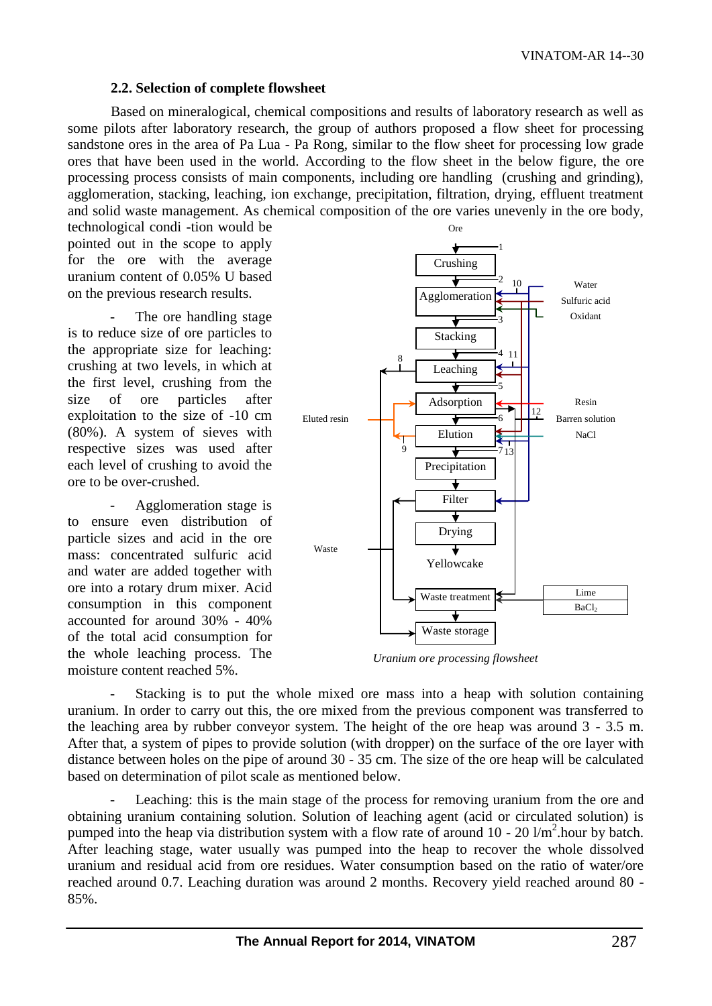### **2.2. Selection of complete flowsheet**

Based on mineralogical, chemical compositions and results of laboratory research as well as some pilots after laboratory research, the group of authors proposed a flow sheet for processing sandstone ores in the area of Pa Lua - Pa Rong, similar to the flow sheet for processing low grade ores that have been used in the world. According to the flow sheet in the below figure, the ore processing process consists of main components, including ore handling (crushing and grinding), agglomeration, stacking, leaching, ion exchange, precipitation, filtration, drying, effluent treatment and solid waste management. As chemical composition of the ore varies unevenly in the ore body,

technological condi -tion would be pointed out in the scope to apply for the ore with the average uranium content of 0.05% U based on the previous research results.

The ore handling stage is to reduce size of ore particles to the appropriate size for leaching: crushing at two levels, in which at the first level, crushing from the size of ore particles after exploitation to the size of -10 cm (80%). A system of sieves with respective sizes was used after each level of crushing to avoid the ore to be over-crushed.

- Agglomeration stage is to ensure even distribution of particle sizes and acid in the ore mass: concentrated sulfuric acid and water are added together with ore into a rotary drum mixer. Acid consumption in this component accounted for around 30% - 40% of the total acid consumption for the whole leaching process. The moisture content reached 5%.



*Uranium ore processing flowsheet*

Stacking is to put the whole mixed ore mass into a heap with solution containing uranium. In order to carry out this, the ore mixed from the previous component was transferred to the leaching area by rubber conveyor system. The height of the ore heap was around 3 - 3.5 m. After that, a system of pipes to provide solution (with dropper) on the surface of the ore layer with distance between holes on the pipe of around 30 - 35 cm. The size of the ore heap will be calculated based on determination of pilot scale as mentioned below.

Leaching: this is the main stage of the process for removing uranium from the ore and obtaining uranium containing solution. Solution of leaching agent (acid or circulated solution) is pumped into the heap via distribution system with a flow rate of around  $10 - 20$  l/m<sup>2</sup>.hour by batch. After leaching stage, water usually was pumped into the heap to recover the whole dissolved uranium and residual acid from ore residues. Water consumption based on the ratio of water/ore reached around 0.7. Leaching duration was around 2 months. Recovery yield reached around 80 - 85%.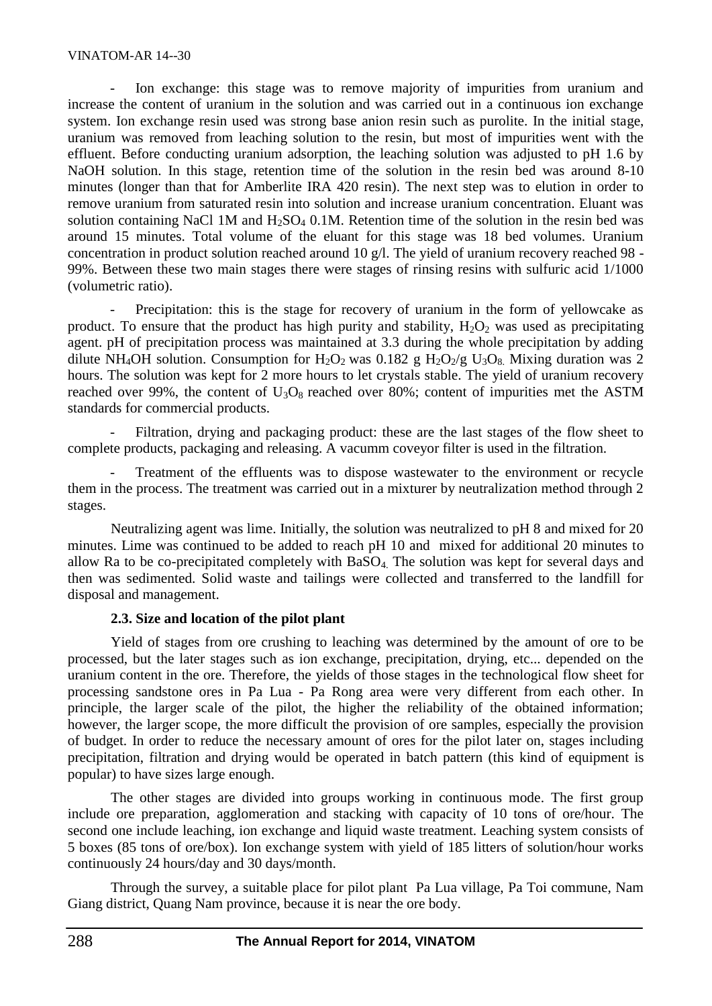#### VINATOM-AR 14--30

Ion exchange: this stage was to remove majority of impurities from uranium and increase the content of uranium in the solution and was carried out in a continuous ion exchange system. Ion exchange resin used was strong base anion resin such as purolite. In the initial stage, uranium was removed from leaching solution to the resin, but most of impurities went with the effluent. Before conducting uranium adsorption, the leaching solution was adjusted to pH 1.6 by NaOH solution. In this stage, retention time of the solution in the resin bed was around 8-10 minutes (longer than that for Amberlite IRA 420 resin). The next step was to elution in order to remove uranium from saturated resin into solution and increase uranium concentration. Eluant was solution containing NaCl 1M and  $H_2SO_4$  0.1M. Retention time of the solution in the resin bed was around 15 minutes. Total volume of the eluant for this stage was 18 bed volumes. Uranium concentration in product solution reached around 10 g/l. The yield of uranium recovery reached 98 - 99%. Between these two main stages there were stages of rinsing resins with sulfuric acid 1/1000 (volumetric ratio).

Precipitation: this is the stage for recovery of uranium in the form of yellowcake as product. To ensure that the product has high purity and stability,  $H_2O_2$  was used as precipitating agent. pH of precipitation process was maintained at 3.3 during the whole precipitation by adding dilute NH<sub>4</sub>OH solution. Consumption for H<sub>2</sub>O<sub>2</sub> was 0.182 g H<sub>2</sub>O<sub>2</sub>/g U<sub>3</sub>O<sub>8</sub>. Mixing duration was 2 hours. The solution was kept for 2 more hours to let crystals stable. The yield of uranium recovery reached over 99%, the content of  $U_3O_8$  reached over 80%; content of impurities met the ASTM standards for commercial products.

Filtration, drying and packaging product: these are the last stages of the flow sheet to complete products, packaging and releasing. A vacumm coveyor filter is used in the filtration.

Treatment of the effluents was to dispose wastewater to the environment or recycle them in the process. The treatment was carried out in a mixturer by neutralization method through 2 stages.

Neutralizing agent was lime. Initially, the solution was neutralized to pH 8 and mixed for 20 minutes. Lime was continued to be added to reach pH 10 and mixed for additional 20 minutes to allow Ra to be co-precipitated completely with BaSO4. The solution was kept for several days and then was sedimented. Solid waste and tailings were collected and transferred to the landfill for disposal and management.

#### **2.3. Size and location of the pilot plant**

Yield of stages from ore crushing to leaching was determined by the amount of ore to be processed, but the later stages such as ion exchange, precipitation, drying, etc... depended on the uranium content in the ore. Therefore, the yields of those stages in the technological flow sheet for processing sandstone ores in Pa Lua - Pa Rong area were very different from each other. In principle, the larger scale of the pilot, the higher the reliability of the obtained information; however, the larger scope, the more difficult the provision of ore samples, especially the provision of budget. In order to reduce the necessary amount of ores for the pilot later on, stages including precipitation, filtration and drying would be operated in batch pattern (this kind of equipment is popular) to have sizes large enough.

The other stages are divided into groups working in continuous mode. The first group include ore preparation, agglomeration and stacking with capacity of 10 tons of ore/hour. The second one include leaching, ion exchange and liquid waste treatment. Leaching system consists of 5 boxes (85 tons of ore/box). Ion exchange system with yield of 185 litters of solution/hour works continuously 24 hours/day and 30 days/month.

Through the survey, a suitable place for pilot plant Pa Lua village, Pa Toi commune, Nam Giang district, Quang Nam province, because it is near the ore body.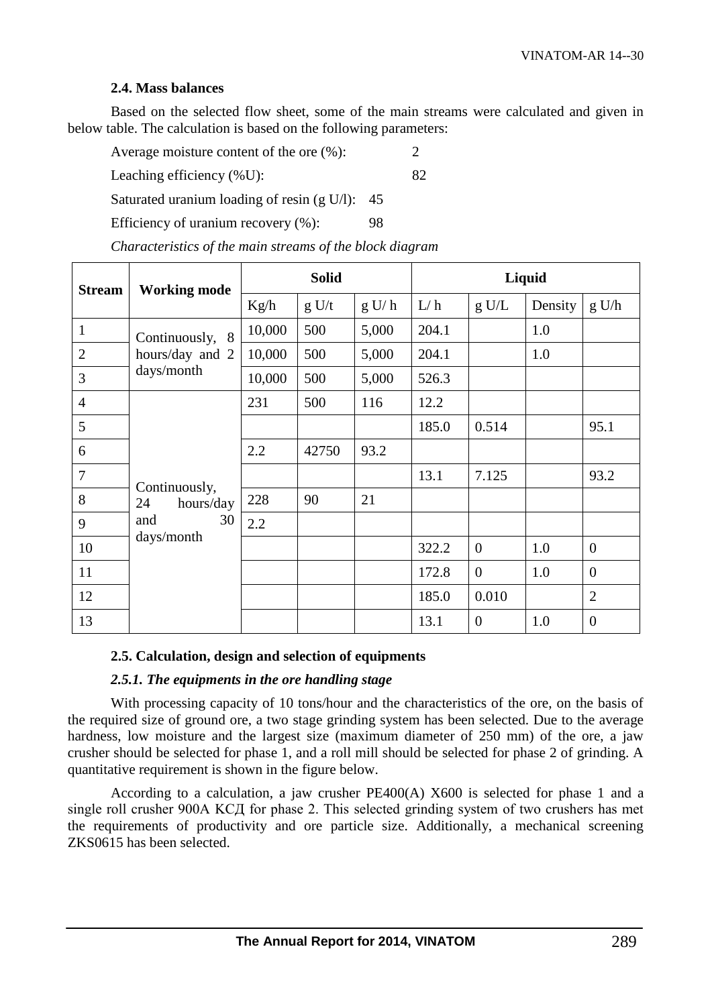### **2.4. Mass balances**

Based on the selected flow sheet, some of the main streams were calculated and given in below table. The calculation is based on the following parameters:

Average moisture content of the ore  $(\% )$ :

Leaching efficiency (%U): 82

Saturated uranium loading of resin (g U/l): 45

Efficiency of uranium recovery  $(\%):$  98

| <b>Stream</b>  | <b>Working mode</b>                                         | <b>Solid</b> |       |       | Liquid |                |         |                |
|----------------|-------------------------------------------------------------|--------------|-------|-------|--------|----------------|---------|----------------|
|                |                                                             | Kg/h         | g U/t | g U/h | L/h    | g U/L          | Density | g U/h          |
| $\mathbf{1}$   | Continuously, 8<br>hours/day and 2<br>days/month            | 10,000       | 500   | 5,000 | 204.1  |                | 1.0     |                |
| $\overline{2}$ |                                                             | 10,000       | 500   | 5,000 | 204.1  |                | 1.0     |                |
| 3              |                                                             | 10,000       | 500   | 5,000 | 526.3  |                |         |                |
| $\overline{4}$ | Continuously,<br>hours/day<br>24<br>and<br>30<br>days/month | 231          | 500   | 116   | 12.2   |                |         |                |
| 5              |                                                             |              |       |       | 185.0  | 0.514          |         | 95.1           |
| 6              |                                                             | 2.2          | 42750 | 93.2  |        |                |         |                |
| $\overline{7}$ |                                                             |              |       |       | 13.1   | 7.125          |         | 93.2           |
| 8              |                                                             | 228          | 90    | 21    |        |                |         |                |
| 9              |                                                             | 2.2          |       |       |        |                |         |                |
| 10             |                                                             |              |       |       | 322.2  | $\overline{0}$ | 1.0     | $\overline{0}$ |
| 11             |                                                             |              |       |       | 172.8  | $\overline{0}$ | 1.0     | $\Omega$       |
| 12             |                                                             |              |       |       | 185.0  | 0.010          |         | $\overline{2}$ |
| 13             |                                                             |              |       |       | 13.1   | $\overline{0}$ | 1.0     | $\overline{0}$ |

*Characteristics of the main streams of the block diagram*

# **2.5. Calculation, design and selection of equipments**

#### *2.5.1. The equipments in the ore handling stage*

With processing capacity of 10 tons/hour and the characteristics of the ore, on the basis of the required size of ground ore, a two stage grinding system has been selected. Due to the average hardness, low moisture and the largest size (maximum diameter of 250 mm) of the ore, a jaw crusher should be selected for phase 1, and a roll mill should be selected for phase 2 of grinding. A quantitative requirement is shown in the figure below.

According to a calculation, a jaw crusher PE400(A) X600 is selected for phase 1 and a single roll crusher 900A KCД for phase 2. This selected grinding system of two crushers has met the requirements of productivity and ore particle size. Additionally, a mechanical screening ZKS0615 has been selected.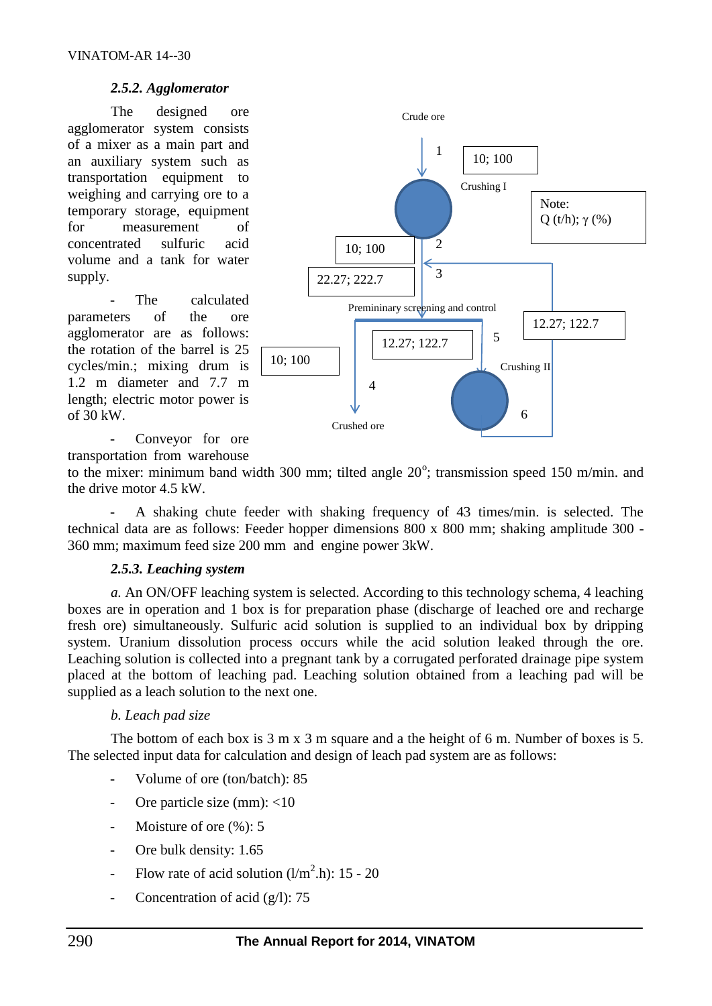# *2.5.2. Agglomerator*

The designed ore agglomerator system consists of a mixer as a main part and an auxiliary system such as transportation equipment to weighing and carrying ore to a temporary storage, equipment for measurement of concentrated sulfuric acid volume and a tank for water supply.

The calculated parameters of the ore agglomerator are as follows: the rotation of the barrel is 25 cycles/min.; mixing drum is 1.2 m diameter and 7.7 m length; electric motor power is of 30 kW.



- Conveyor for ore transportation from warehouse

to the mixer: minimum band width 300 mm; tilted angle  $20^{\circ}$ ; transmission speed 150 m/min. and the drive motor 4.5 kW.

A shaking chute feeder with shaking frequency of 43 times/min. is selected. The technical data are as follows: Feeder hopper dimensions 800 x 800 mm; shaking amplitude 300 - 360 mm; maximum feed size 200 mm and engine power 3kW.

# *2.5.3. Leaching system*

*a.* An ON/OFF leaching system is selected. According to this technology schema, 4 leaching boxes are in operation and 1 box is for preparation phase (discharge of leached ore and recharge fresh ore) simultaneously. Sulfuric acid solution is supplied to an individual box by dripping system. Uranium dissolution process occurs while the acid solution leaked through the ore. Leaching solution is collected into a pregnant tank by a corrugated perforated drainage pipe system placed at the bottom of leaching pad. Leaching solution obtained from a leaching pad will be supplied as a leach solution to the next one.

# *b. Leach pad size*

The bottom of each box is 3 m x 3 m square and a the height of 6 m. Number of boxes is 5. The selected input data for calculation and design of leach pad system are as follows:

- Volume of ore (ton/batch): 85
- Ore particle size (mm): <10
- Moisture of ore  $(\%):$  5
- Ore bulk density: 1.65
- Flow rate of acid solution  $(l/m^2.h)$ : 15 20
- Concentration of acid  $(g/l)$ : 75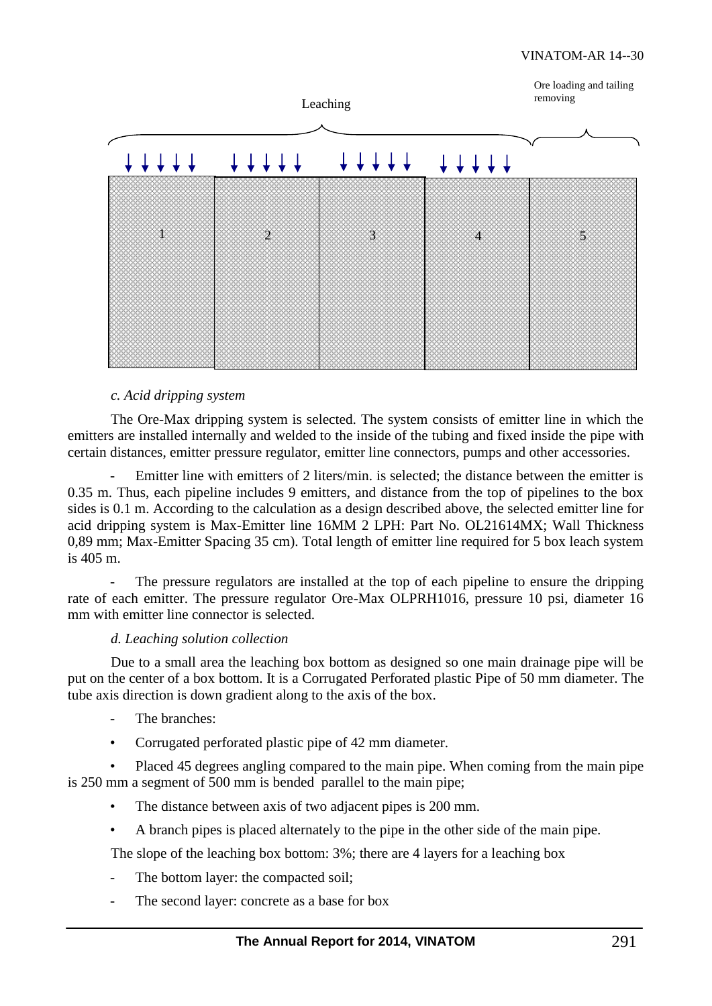

### *c. Acid dripping system*

The Ore-Max dripping system is selected. The system consists of emitter line in which the emitters are installed internally and welded to the inside of the tubing and fixed inside the pipe with certain distances, emitter pressure regulator, emitter line connectors, pumps and other accessories.

Emitter line with emitters of 2 liters/min. is selected; the distance between the emitter is 0.35 m. Thus, each pipeline includes 9 emitters, and distance from the top of pipelines to the box sides is 0.1 m. According to the calculation as a design described above, the selected emitter line for acid dripping system is Max-Emitter line 16MM 2 LPH: Part No. OL21614MX; Wall Thickness 0,89 mm; Max-Emitter Spacing 35 cm). Total length of emitter line required for 5 box leach system is 405 m.

The pressure regulators are installed at the top of each pipeline to ensure the dripping rate of each emitter. The pressure regulator Ore-Max OLPRH1016, pressure 10 psi, diameter 16 mm with emitter line connector is selected.

#### *d. Leaching solution collection*

Due to a small area the leaching box bottom as designed so one main drainage pipe will be put on the center of a box bottom. It is a Corrugated Perforated plastic Pipe of 50 mm diameter. The tube axis direction is down gradient along to the axis of the box.

- The branches:
- Corrugated perforated plastic pipe of 42 mm diameter.

• Placed 45 degrees angling compared to the main pipe. When coming from the main pipe is 250 mm a segment of 500 mm is bended parallel to the main pipe;

- The distance between axis of two adjacent pipes is 200 mm.
- A branch pipes is placed alternately to the pipe in the other side of the main pipe.

The slope of the leaching box bottom: 3%; there are 4 layers for a leaching box

- The bottom layer: the compacted soil;
- The second layer: concrete as a base for box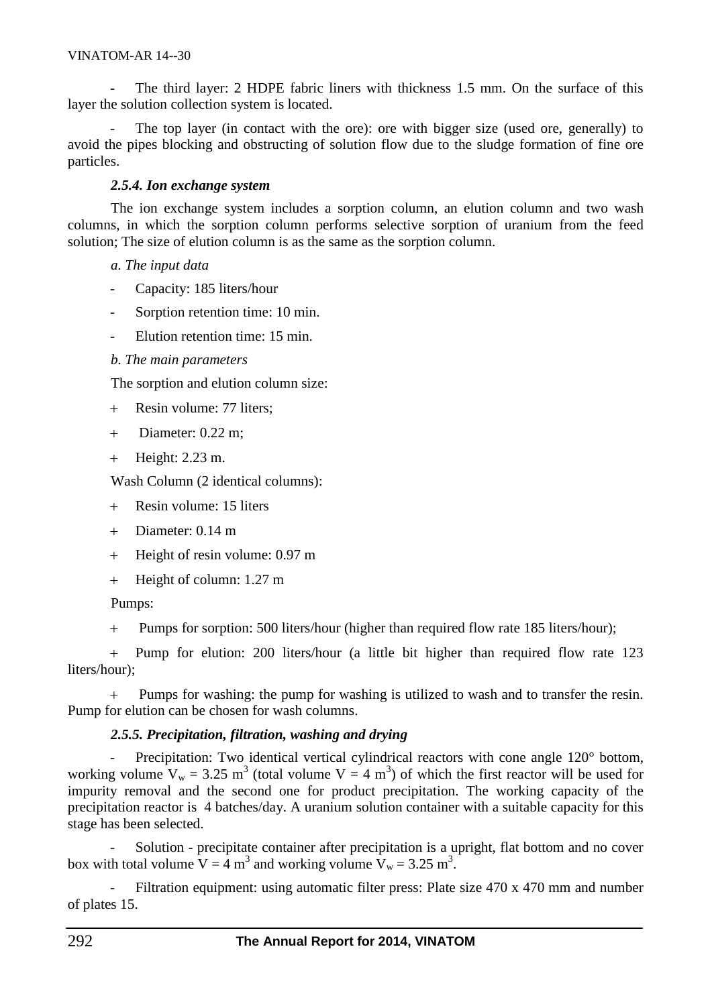#### VINATOM-AR 14--30

The third layer: 2 HDPE fabric liners with thickness 1.5 mm. On the surface of this layer the solution collection system is located.

The top layer (in contact with the ore): ore with bigger size (used ore, generally) to avoid the pipes blocking and obstructing of solution flow due to the sludge formation of fine ore particles.

# *2.5.4. Ion exchange system*

The ion exchange system includes a sorption column, an elution column and two wash columns, in which the sorption column performs selective sorption of uranium from the feed solution; The size of elution column is as the same as the sorption column.

### *a. The input data*

- Capacity: 185 liters/hour
- Sorption retention time: 10 min.
- Elution retention time: 15 min.

# *b. The main parameters*

The sorption and elution column size:

- + Resin volume: 77 liters;
- Diameter: 0.22 m;
- + Height: 2.23 m.

Wash Column (2 identical columns):

- Resin volume: 15 liters
- Diameter: 0.14 m
- + Height of resin volume: 0.97 m
- + Height of column: 1.27 m

Pumps:

Pumps for sorption: 500 liters/hour (higher than required flow rate 185 liters/hour);

 Pump for elution: 200 liters/hour (a little bit higher than required flow rate 123 liters/hour);

 Pumps for washing: the pump for washing is utilized to wash and to transfer the resin. Pump for elution can be chosen for wash columns.

# *2.5.5. Precipitation, filtration, washing and drying*

- Precipitation: Two identical vertical cylindrical reactors with cone angle 120° bottom, working volume  $V_w = 3.25 \text{ m}^3$  (total volume  $V = 4 \text{ m}^3$ ) of which the first reactor will be used for impurity removal and the second one for product precipitation. The working capacity of the precipitation reactor is 4 batches/day. A uranium solution container with a suitable capacity for this stage has been selected.

Solution - precipitate container after precipitation is a upright, flat bottom and no cover box with total volume  $V = 4 \text{ m}^3$  and working volume  $V_w = 3.25 \text{ m}^3$ .

Filtration equipment: using automatic filter press: Plate size 470 x 470 mm and number of plates 15.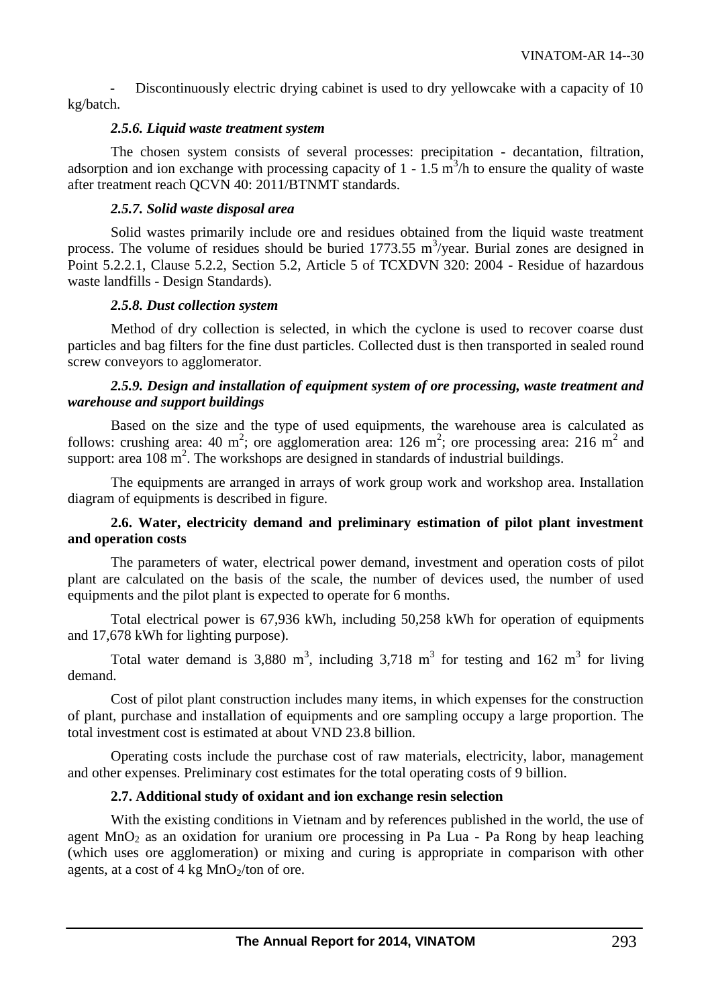Discontinuously electric drying cabinet is used to dry yellowcake with a capacity of 10 kg/batch.

### *2.5.6. Liquid waste treatment system*

The chosen system consists of several processes: precipitation - decantation, filtration, adsorption and ion exchange with processing capacity of  $1 - 1.5$  m<sup>3</sup>/h to ensure the quality of waste after treatment reach QCVN 40: 2011/BTNMT standards.

### *2.5.7. Solid waste disposal area*

Solid wastes primarily include ore and residues obtained from the liquid waste treatment process. The volume of residues should be buried  $1773.55 \text{ m}^3/\text{year}$ . Burial zones are designed in Point 5.2.2.1, Clause 5.2.2, Section 5.2, Article 5 of TCXDVN 320: 2004 - Residue of hazardous waste landfills - Design Standards).

### *2.5.8. Dust collection system*

Method of dry collection is selected, in which the cyclone is used to recover coarse dust particles and bag filters for the fine dust particles. Collected dust is then transported in sealed round screw conveyors to agglomerator.

### *2.5.9. Design and installation of equipment system of ore processing, waste treatment and warehouse and support buildings*

Based on the size and the type of used equipments, the warehouse area is calculated as follows: crushing area: 40 m<sup>2</sup>; ore agglomeration area: 126 m<sup>2</sup>; ore processing area: 216 m<sup>2</sup> and support: area  $108 \text{ m}^2$ . The workshops are designed in standards of industrial buildings.

The equipments are arranged in arrays of work group work and workshop area. Installation diagram of equipments is described in figure.

# **2.6. Water, electricity demand and preliminary estimation of pilot plant investment and operation costs**

The parameters of water, electrical power demand, investment and operation costs of pilot plant are calculated on the basis of the scale, the number of devices used, the number of used equipments and the pilot plant is expected to operate for 6 months.

Total electrical power is 67,936 kWh, including 50,258 kWh for operation of equipments and 17,678 kWh for lighting purpose).

Total water demand is 3,880 m<sup>3</sup>, including 3,718 m<sup>3</sup> for testing and 162 m<sup>3</sup> for living demand.

Cost of pilot plant construction includes many items, in which expenses for the construction of plant, purchase and installation of equipments and ore sampling occupy a large proportion. The total investment cost is estimated at about VND 23.8 billion.

Operating costs include the purchase cost of raw materials, electricity, labor, management and other expenses. Preliminary cost estimates for the total operating costs of 9 billion.

# **2.7. Additional study of oxidant and ion exchange resin selection**

With the existing conditions in Vietnam and by references published in the world, the use of agent  $MnO<sub>2</sub>$  as an oxidation for uranium ore processing in Pa Lua - Pa Rong by heap leaching (which uses ore agglomeration) or mixing and curing is appropriate in comparison with other agents, at a cost of  $4 \text{ kg } MnO_2/t$ on of ore.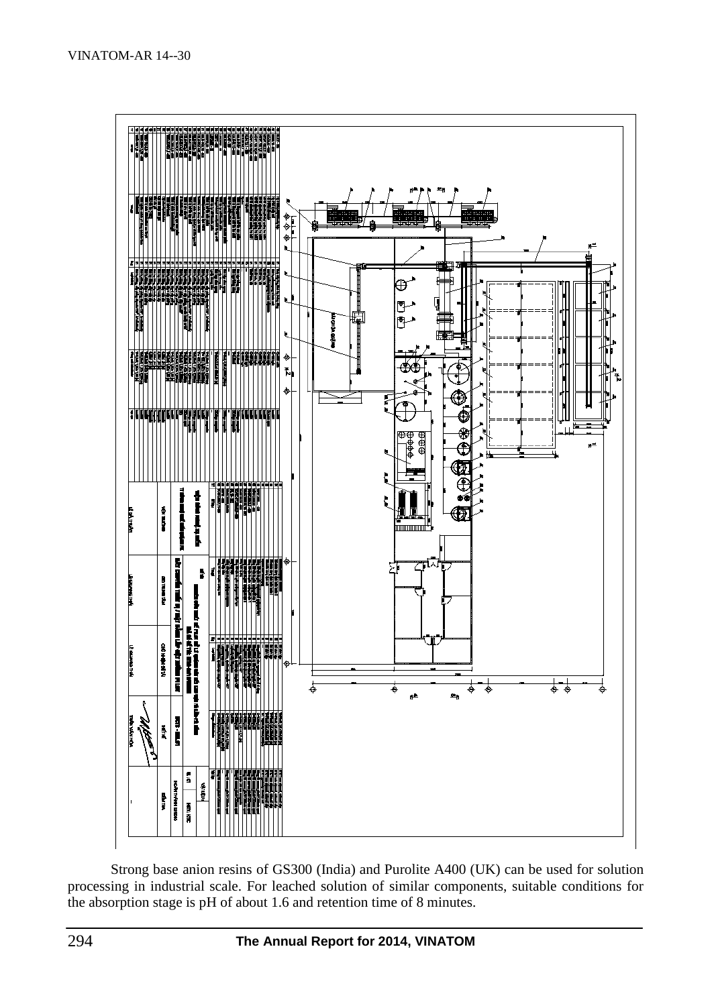

Strong base anion resins of GS300 (India) and Purolite A400 (UK) can be used for solution processing in industrial scale. For leached solution of similar components, suitable conditions for the absorption stage is pH of about 1.6 and retention time of 8 minutes.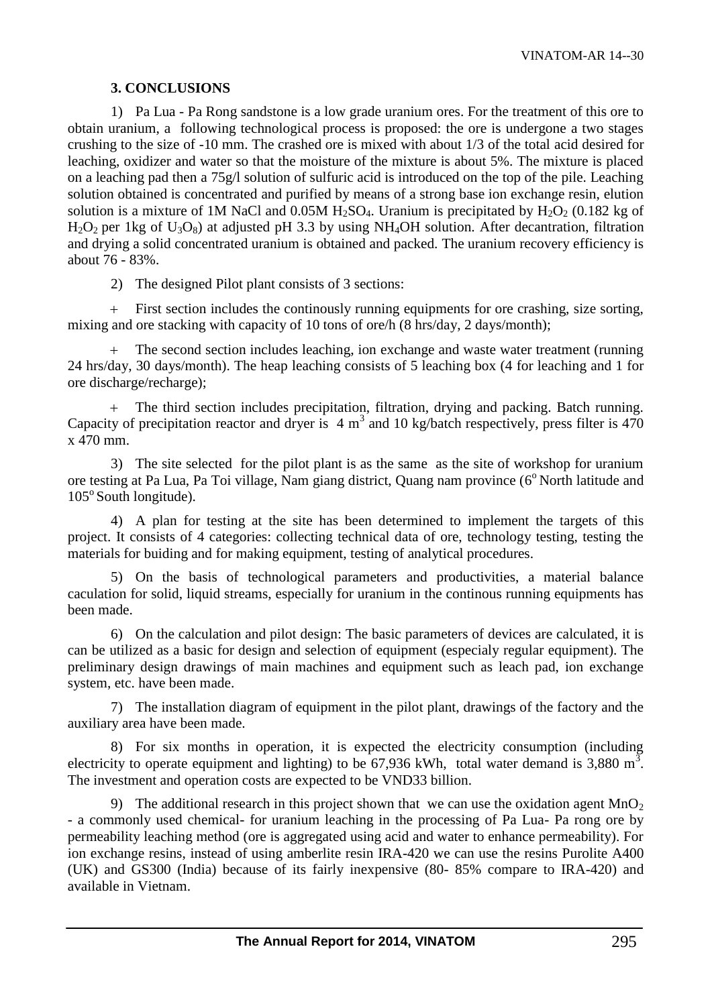# **3. CONCLUSIONS**

1) Pa Lua - Pa Rong sandstone is a low grade uranium ores. For the treatment of this ore to obtain uranium, a following technological process is proposed: the ore is undergone a two stages crushing to the size of -10 mm. The crashed ore is mixed with about 1/3 of the total acid desired for leaching, oxidizer and water so that the moisture of the mixture is about 5%. The mixture is placed on a leaching pad then a 75g/l solution of sulfuric acid is introduced on the top of the pile. Leaching solution obtained is concentrated and purified by means of a strong base ion exchange resin, elution solution is a mixture of 1M NaCl and 0.05M H<sub>2</sub>SO<sub>4</sub>. Uranium is precipitated by H<sub>2</sub>O<sub>2</sub> (0.182 kg of  $H_2O_2$  per 1kg of  $U_3O_8$ ) at adjusted pH 3.3 by using NH<sub>4</sub>OH solution. After decantration, filtration and drying a solid concentrated uranium is obtained and packed. The uranium recovery efficiency is about 76 - 83%.

2) The designed Pilot plant consists of 3 sections:

 First section includes the continously running equipments for ore crashing, size sorting, mixing and ore stacking with capacity of 10 tons of ore/h (8 hrs/day, 2 days/month);

 The second section includes leaching, ion exchange and waste water treatment (running 24 hrs/day, 30 days/month). The heap leaching consists of 5 leaching box (4 for leaching and 1 for ore discharge/recharge);

 The third section includes precipitation, filtration, drying and packing. Batch running. Capacity of precipitation reactor and dryer is  $4 \text{ m}^3$  and 10 kg/batch respectively, press filter is 470 x 470 mm.

3) The site selected for the pilot plant is as the same as the site of workshop for uranium ore testing at Pa Lua, Pa Toi village, Nam giang district, Quang nam province (6° North latitude and  $105^\circ$  South longitude).

4) A plan for testing at the site has been determined to implement the targets of this project. It consists of 4 categories: collecting technical data of ore, technology testing, testing the materials for buiding and for making equipment, testing of analytical procedures.

5) On the basis of technological parameters and productivities, a material balance caculation for solid, liquid streams, especially for uranium in the continous running equipments has been made.

6) On the calculation and pilot design: The basic parameters of devices are calculated, it is can be utilized as a basic for design and selection of equipment (especialy regular equipment). The preliminary design drawings of main machines and equipment such as leach pad, ion exchange system, etc. have been made.

7) The installation diagram of equipment in the pilot plant, drawings of the factory and the auxiliary area have been made.

8) For six months in operation, it is expected the electricity consumption (including electricity to operate equipment and lighting) to be 67,936 kWh, total water demand is 3,880 m<sup>3</sup>. The investment and operation costs are expected to be VND33 billion.

9) The additional research in this project shown that we can use the oxidation agent  $MnO<sub>2</sub>$ - a commonly used chemical- for uranium leaching in the processing of Pa Lua- Pa rong ore by permeability leaching method (ore is aggregated using acid and water to enhance permeability). For ion exchange resins, instead of using amberlite resin IRA-420 we can use the resins Purolite A400 (UK) and GS300 (India) because of its fairly inexpensive (80- 85% compare to IRA-420) and available in Vietnam.